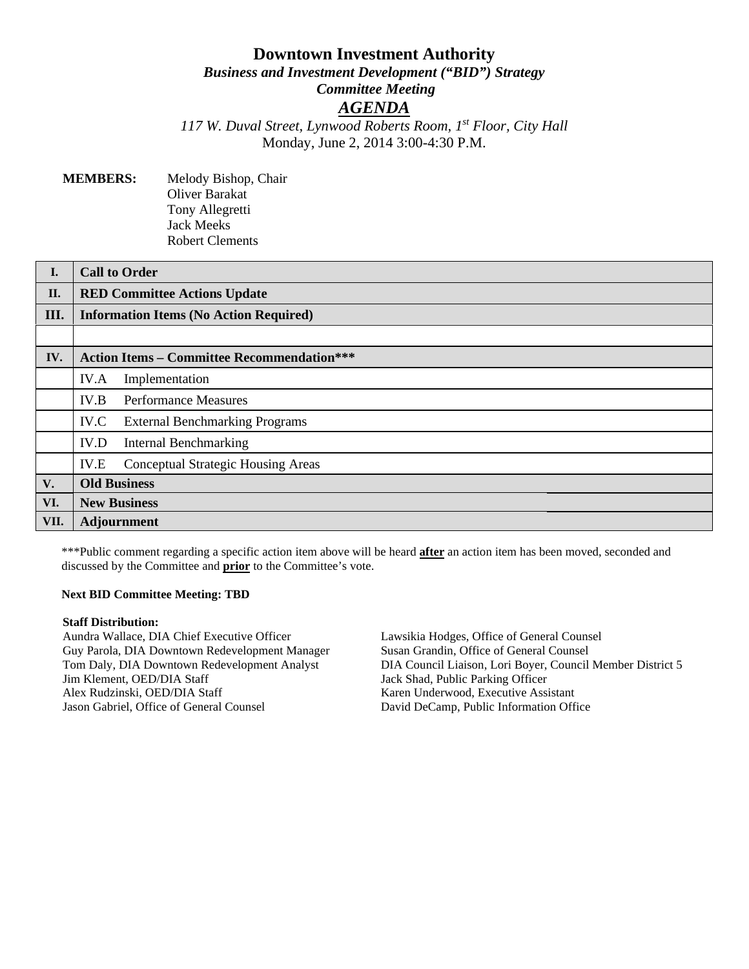# **Downtown Investment Authority** *Business and Investment Development ("BID") Strategy Committee Meeting AGENDA*

*117 W. Duval Street, Lynwood Roberts Room, 1st Floor, City Hall* Monday, June 2, 2014 3:00-4:30 P.M.

**MEMBERS:** Melody Bishop, Chair Oliver Barakat Tony Allegretti Jack Meeks Robert Clements

| I.   | <b>Call to Order</b>                              |
|------|---------------------------------------------------|
| II.  | <b>RED Committee Actions Update</b>               |
| Ш.   | <b>Information Items (No Action Required)</b>     |
|      |                                                   |
| IV.  | <b>Action Items - Committee Recommendation***</b> |
|      | IV.A<br>Implementation                            |
|      | <b>Performance Measures</b><br>IV.B               |
|      | IV.C<br><b>External Benchmarking Programs</b>     |
|      | IV.D<br><b>Internal Benchmarking</b>              |
|      | IV.E<br><b>Conceptual Strategic Housing Areas</b> |
| V.   | <b>Old Business</b>                               |
| VI.  | <b>New Business</b>                               |
| VII. | Adjournment                                       |

\*\*\*Public comment regarding a specific action item above will be heard **after** an action item has been moved, seconded and discussed by the Committee and **prior** to the Committee's vote.

#### **Next BID Committee Meeting: TBD**

#### **Staff Distribution:**

Aundra Wallace, DIA Chief Executive Officer Guy Parola, DIA Downtown Redevelopment Manager Tom Daly, DIA Downtown Redevelopment Analyst Jim Klement, OED/DIA Staff Alex Rudzinski, OED/DIA Staff Jason Gabriel, Office of General Counsel

Lawsikia Hodges, Office of General Counsel Susan Grandin, Office of General Counsel DIA Council Liaison, Lori Boyer, Council Member District 5 Jack Shad, Public Parking Officer Karen Underwood, Executive Assistant David DeCamp, Public Information Office